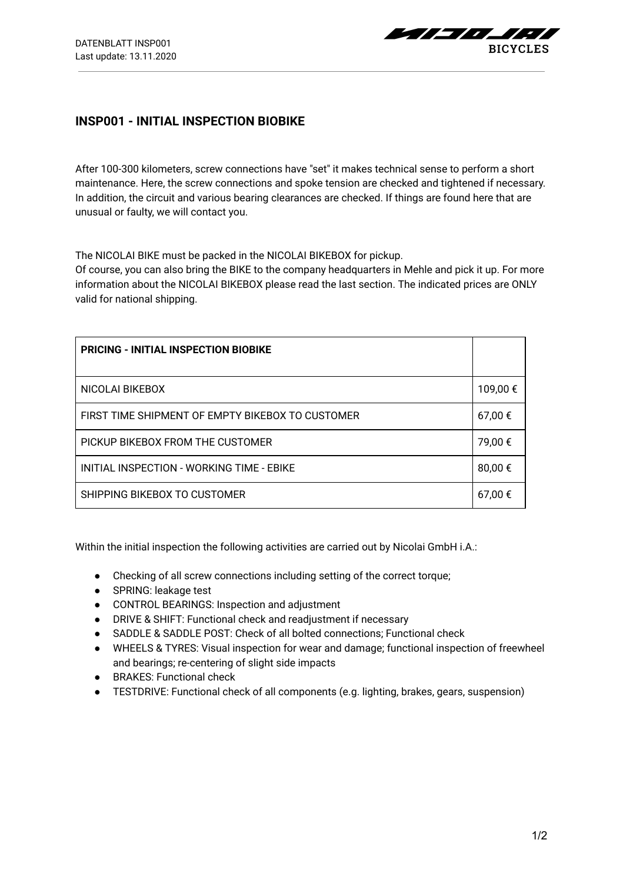$$
BICYCLES
$$

## **INSP001 - INITIAL INSPECTION BIOBIKE**

After 100-300 kilometers, screw connections have "set" it makes technical sense to perform a short maintenance. Here, the screw connections and spoke tension are checked and tightened if necessary. In addition, the circuit and various bearing clearances are checked. If things are found here that are unusual or faulty, we will contact you.

The NICOLAI BIKE must be packed in the NICOLAI BIKEBOX for pickup.

Of course, you can also bring the BIKE to the company headquarters in Mehle and pick it up. For more information about the NICOLAI BIKEBOX please read the last section. The indicated prices are ONLY valid for national shipping.

| <b>PRICING - INITIAL INSPECTION BIOBIKE</b>      |          |
|--------------------------------------------------|----------|
| NICOLAI BIKEBOX                                  | 109,00 € |
| FIRST TIME SHIPMENT OF EMPTY BIKEBOX TO CUSTOMER | 67,00€   |
| PICKUP BIKEBOX FROM THE CUSTOMER                 | 79,00 €  |
| INITIAL INSPECTION - WORKING TIME - EBIKE        | 80,00€   |
| SHIPPING BIKEBOX TO CUSTOMER                     | 67,00 €  |

Within the initial inspection the following activities are carried out by Nicolai GmbH i.A.:

- Checking of all screw connections including setting of the correct torque;
- SPRING: leakage test
- CONTROL BEARINGS: Inspection and adjustment
- DRIVE & SHIFT: Functional check and readjustment if necessary
- SADDLE & SADDLE POST: Check of all bolted connections; Functional check
- WHEELS & TYRES: Visual inspection for wear and damage; functional inspection of freewheel and bearings; re-centering of slight side impacts
- BRAKES: Functional check
- TESTDRIVE: Functional check of all components (e.g. lighting, brakes, gears, suspension)